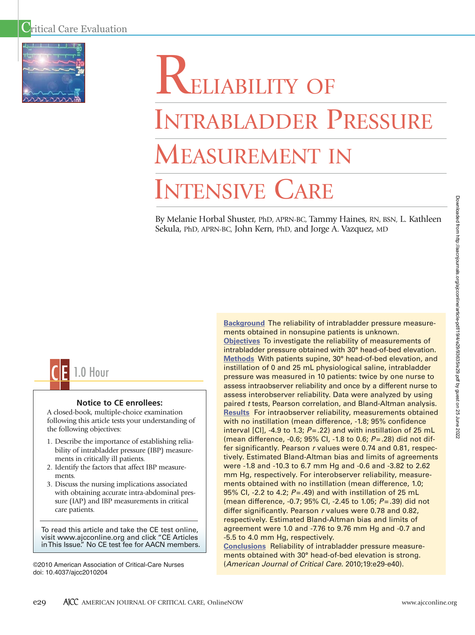

# **RELIABILITY OF** INTRABLADDER PRESSURE MEASUREMENT IN INTENSIVE CARE

By Melanie Horbal Shuster, PhD, APRN-BC, Tammy Haines, RN, BSN, L. Kathleen Sekula, PhD, APRN-BC, John Kern, PhD, and Jorge A. Vazquez, MD



# **Notice to CE enrollees:**

A closed-book, multiple-choice examination following this article tests your understanding of the following objectives:

- 1. Describe the importance of establishing reliability of intrabladder pressure (IBP) measurements in critically ill patients.
- 2. Identify the factors that affect IBP measurements.
- 3. Discuss the nursing implications associated with obtaining accurate intra-abdominal pressure (IAP) and IBP measurements in critical care patients.

To read this article and take the CE test online, visit www.ajcconline.org and click "CE Articles in This Issue." No CE test fee for AACN members.

©2010 American Association of Critical-Care Nurses doi: 10.4037/ajcc2010204

**Background** The reliability of intrabladder pressure measurements obtained in nonsupine patients is unknown. **Objectives** To investigate the reliability of measurements of intrabladder pressure obtained with 30° head-of-bed elevation. **Methods** With patients supine, 30° head-of-bed elevation, and instillation of 0 and 25 mL physiological saline, intrabladder pressure was measured in 10 patients: twice by one nurse to assess intraobserver reliability and once by a different nurse to assess interobserver reliability. Data were analyzed by using paired *t* tests, Pearson correlation, and Bland-Altman analysis. **Results** For intraobserver reliability, measurements obtained with no instillation (mean difference, -1.8; 95% confidence interval [CI], -4.9 to 1.3; *P*=.22) and with instillation of 25 mL (mean difference, -0.6; 95% CI, -1.8 to 0.6; *P*=.28) did not differ significantly. Pearson *r* values were 0.74 and 0.81, respectively. Estimated Bland-Altman bias and limits of agreements were -1.8 and -10.3 to 6.7 mm Hg and -0.6 and -3.82 to 2.62 mm Hg, respectively. For interobserver reliability, measurements obtained with no instillation (mean difference, 1.0; 95% CI, -2.2 to 4.2; *P*=.49) and with instillation of 25 mL (mean difference, -0.7; 95% CI, -2.45 to 1.05; *P*=.39) did not differ significantly. Pearson *r* values were 0.78 and 0.82, respectively. Estimated Bland-Altman bias and limits of agreement were 1.0 and -7.76 to 9.76 mm Hg and -0.7 and -5.5 to 4.0 mm Hg, respectively.

**Conclusions** Reliability of intrabladder pressure measurements obtained with 30° head-of-bed elevation is strong. (*American Journal of Critical Care.* 2010;19:e29-e40).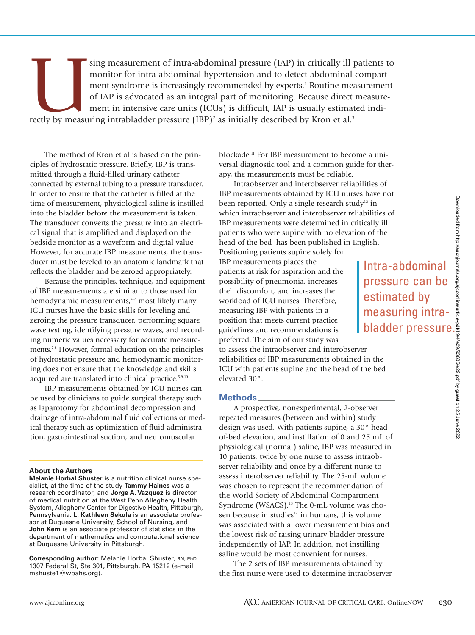Sing measurement of intra-abdominal pressure (IAP) in critically ill patients to monitor for intra-abdominal hypertension and to detect abdominal compartment syndrome is increasingly recommended by experts.<sup>1</sup> Routine meas monitor for intra-abdominal hypertension and to detect abdominal compartment syndrome is increasingly recommended by experts.<sup>1</sup> Routine measurement of IAP is advocated as an integral part of monitoring. Because direct measurement in intensive care units (ICUs) is difficult, IAP is usually estimated indi-

The method of Kron et al is based on the principles of hydrostatic pressure. Briefly, IBP is transmitted through a fluid-filled urinary catheter connected by external tubing to a pressure transducer. In order to ensure that the catheter is filled at the time of measurement, physiological saline is instilled into the bladder before the measurement is taken. The transducer converts the pressure into an electrical signal that is amplified and displayed on the bedside monitor as a waveform and digital value. However, for accurate IBP measurements, the transducer must be leveled to an anatomic landmark that reflects the bladder and be zeroed appropriately.

Because the principles, technique, and equipment of IBP measurements are similar to those used for hemodynamic measurements,<sup>4-7</sup> most likely many ICU nurses have the basic skills for leveling and zeroing the pressure transducer, performing square wave testing, identifying pressure waves, and recording numeric values necessary for accurate measurements.<sup>7,8</sup> However, formal education on the principles of hydrostatic pressure and hemodynamic monitoring does not ensure that the knowledge and skills acquired are translated into clinical practice.5,9,10

IBP measurements obtained by ICU nurses can be used by clinicians to guide surgical therapy such as laparotomy for abdominal decompression and drainage of intra-abdominal fluid collections or medical therapy such as optimization of fluid administration, gastrointestinal suction, and neuromuscular

#### **About the Authors**

**Melanie Horbal Shuster** is a nutrition clinical nurse specialist, at the time of the study **Tammy Haines** was a research coordinator, and **Jorge A. Vazquez** is director of medical nutrition at the West Penn Allegheny Health System, Allegheny Center for Digestive Health, Pittsburgh, Pennsylvania. **L. Kathleen Sekula** is an associate professor at Duquesne University, School of Nursing, and **John Kern** is an associate professor of statistics in the department of mathematics and computational science at Duquesne University in Pittsburgh.

**Corresponding author:** Melanie Horbal Shuster, RN, PhD, 1307 Federal St, Ste 301, Pittsburgh, PA 15212 (e-mail: mshuste1@wpahs.org).

blockade.11 For IBP measurement to become a universal diagnostic tool and a common guide for therapy, the measurements must be reliable.

Intraobserver and interobserver reliabilities of IBP measurements obtained by ICU nurses have not been reported. Only a single research study<sup>12</sup> in which intraobserver and interobserver reliabilities of IBP measurements were determined in critically ill patients who were supine with no elevation of the head of the bed has been published in English.

Positioning patients supine solely for IBP measurements places the patients at risk for aspiration and the possibility of pneumonia, increases their discomfort, and increases the workload of ICU nurses. Therefore, measuring IBP with patients in a position that meets current practice guidelines and recommendations is preferred. The aim of our study was

Intra-abdominal pressure can be estimated by measuring intrabuilities of<br>
ideally ill<br>
whilities of<br>
ideally ill<br>
n of the<br>
glish.<br> **Intra-abdominal**<br>
pressure can be<br>
estimated by<br>
measuring intra-<br>
bladder pressure.<br>
bladder pressure.<br>
and the bed<br>
the bed<br>
the bed<br>
o<sup>o</sup> head-<br>
2

to assess the intraobserver and interobserver reliabilities of IBP measurements obtained in the ICU with patients supine and the head of the bed elevated 30°.

### **Methods**

A prospective, nonexperimental, 2-observer repeated measures (between and within) study design was used. With patients supine, a 30° headof-bed elevation, and instillation of 0 and 25 mL of physiological (normal) saline, IBP was measured in 10 patients, twice by one nurse to assess intraobserver reliability and once by a different nurse to assess interobserver reliability. The 25-mL volume was chosen to represent the recommendation of the World Society of Abdominal Compartment Syndrome (WSACS).<sup>13</sup> The 0-mL volume was chosen because in studies<sup>14</sup> in humans, this volume was associated with a lower measurement bias and the lowest risk of raising urinary bladder pressure independently of IAP. In addition, not instilling saline would be most convenient for nurses.

The 2 sets of IBP measurements obtained by the first nurse were used to determine intraobserver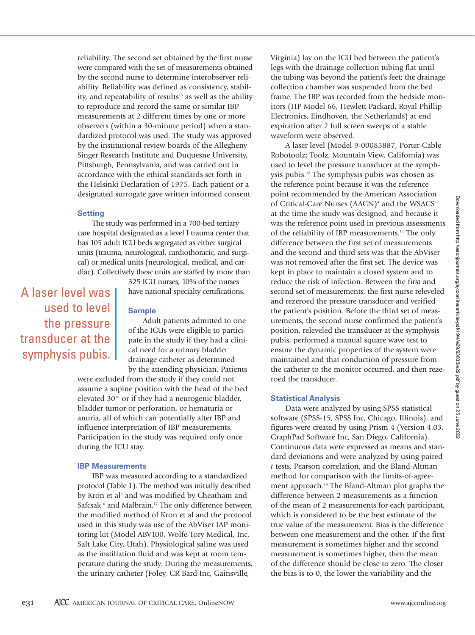Downloaded from http://aacnjournals.org/ajcconline/article-pdf/19/4/e29/93635/e29.pdf by guest on 25 June 2022 Downloaded from http://aacnjournals.org/ajcconline/article-pdf/19/4/e29/93635/e29.pdf by guest on 25 June 2022

reliability. The second set obtained by the first nurse were compared with the set of measurements obtained by the second nurse to determine interobserver reliability. Reliability was defined as consistency, stability, and repeatability of results<sup>15</sup> as well as the ability to reproduce and record the same or similar IBP measurements at 2 different times by one or more observers (within a 30-minute period) when a standardized protocol was used. The study was approved by the institutional review boards of the Allegheny Singer Research Institute and Duquesne University, Pittsburgh, Pennsylvania, and was carried out in accordance with the ethical standards set forth in the Helsinki Declaration of 1975. Each patient or a designated surrogate gave written informed consent.

# **Setting**

The study was performed in a 700-bed tertiary care hospital designated as a level I trauma center that has 105 adult ICU beds segregated as either surgical units (trauma, neurological, cardiothoracic, and surgical) or medical units (neurological, medical, and cardiac). Collectively these units are staffed by more than

A laser level was used to level the pressure transducer at the symphysis pubis.

325 ICU nurses; 10% of the nurses have national specialty certifications.

## **Sample**

Adult patients admitted to one of the ICUs were eligible to participate in the study if they had a clinical need for a urinary bladder drainage catheter as determined by the attending physician. Patients

were excluded from the study if they could not assume a supine position with the head of the bed elevated 30° or if they had a neurogenic bladder, bladder tumor or perforation, or hematuria or anuria, all of which can potentially alter IBP and influence interpretation of IBP measurements. Participation in the study was required only once during the ICU stay.

#### **IBP Measurements**

IBP was measured according to a standardized protocol (Table 1). The method was initially described by Kron et al<sup>3</sup> and was modified by Cheatham and Safcsak<sup>16</sup> and Malbrain.<sup>17</sup> The only difference between the modified method of Kron et al and the protocol used in this study was use of the AbViser IAP monitoring kit (Model ABV100, Wolfe-Tory Medical, Inc, Salt Lake City, Utah). Physiological saline was used as the instillation fluid and was kept at room temperature during the study. During the measurements, the urinary catheter (Foley, CR Bard Inc, Gainsville,

Virginia) lay on the ICU bed between the patient's legs with the drainage collection tubing flat until the tubing was beyond the patient's feet; the drainage collection chamber was suspended from the bed frame. The IBP was recorded from the bedside monitors (HP Model 66, Hewlett Packard, Royal Phillip Electronics, Eindhoven, the Netherlands) at end expiration after 2 full screen sweeps of a stable waveform were observed.

A laser level (Model 9-00085887, Porter-Cable Robotoolz; Toolz, Mountain View, California) was used to level the pressure transducer at the symphysis pubis.18 The symphysis pubis was chosen as the reference point because it was the reference point recommended by the American Association of Critical-Care Nurses (AACN)<sup>4</sup> and the WSACS<sup>17</sup> at the time the study was designed, and because it was the reference point used in previous assessments of the reliability of IBP measurements.12 The only difference between the first set of measurements and the second and third sets was that the AbViser was not removed after the first set. The device was kept in place to maintain a closed system and to reduce the risk of infection. Between the first and second set of measurements, the first nurse releveled and rezeroed the pressure transducer and verified the patient's position. Before the third set of measurements, the second nurse confirmed the patient's position, releveled the transducer at the symphysis pubis, performed a manual square wave test to ensure the dynamic properties of the system were maintained and that conduction of pressure from the catheter to the monitor occurred, and then rezeroed the transducer.

#### **Statistical Analysis**

Data were analyzed by using SPSS statistical software (SPSS-15, SPSS Inc, Chicago, Illinois), and figures were created by using Prism 4 (Version 4.03, GraphPad Software Inc, San Diego, California). Continuous data were expressed as means and standard deviations and were analyzed by using paired *t* tests, Pearson correlation, and the Bland-Altman method for comparison with the limits-of-agreement approach.<sup>19</sup> The Bland-Altman plot graphs the difference between 2 measurements as a function of the mean of 2 measurements for each participant, which is considered to be the best estimate of the true value of the measurement. Bias is the difference between one measurement and the other. If the first measurement is sometimes higher and the second measurement is sometimes higher, then the mean of the difference should be close to zero. The closer the bias is to 0, the lower the variability and the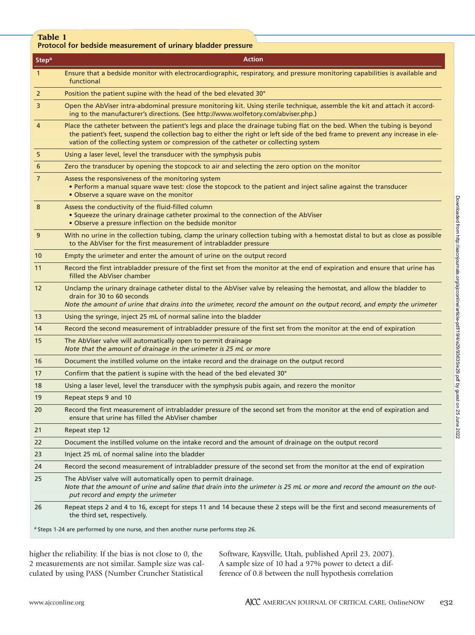| Table 1        | Protocol for bedside measurement of urinary bladder pressure                                                                                                                                                                                                                                                                                      |
|----------------|---------------------------------------------------------------------------------------------------------------------------------------------------------------------------------------------------------------------------------------------------------------------------------------------------------------------------------------------------|
| <b>Stepa</b>   | <b>Action</b>                                                                                                                                                                                                                                                                                                                                     |
| $\mathbf{1}$   | Ensure that a bedside monitor with electrocardiographic, respiratory, and pressure monitoring capabilities is available and<br>functional                                                                                                                                                                                                         |
| $\overline{2}$ | Position the patient supine with the head of the bed elevated 30°                                                                                                                                                                                                                                                                                 |
| $\overline{3}$ | Open the AbViser intra-abdominal pressure monitoring kit. Using sterile technique, assemble the kit and attach it accord-<br>ing to the manufacturer's directions. (See http://www.wolfetory.com/abviser.php.)                                                                                                                                    |
| 4              | Place the catheter between the patient's legs and place the drainage tubing flat on the bed. When the tubing is beyond<br>the patient's feet, suspend the collection bag to either the right or left side of the bed frame to prevent any increase in ele-<br>vation of the collecting system or compression of the catheter or collecting system |
| 5              | Using a laser level, level the transducer with the symphysis pubis                                                                                                                                                                                                                                                                                |
| 6              | Zero the transducer by opening the stopcock to air and selecting the zero option on the monitor                                                                                                                                                                                                                                                   |
| $\overline{7}$ | Assess the responsiveness of the monitoring system<br>• Perform a manual square wave test: close the stopcock to the patient and inject saline against the transducer<br>• Observe a square wave on the monitor                                                                                                                                   |
| 8              | Assess the conductivity of the fluid-filled column<br>• Squeeze the urinary drainage catheter proximal to the connection of the AbViser<br>• Observe a pressure inflection on the bedside monitor                                                                                                                                                 |
| 9              | With no urine in the collection tubing, clamp the urinary collection tubing with a hemostat distal to but as close as possible<br>to the AbViser for the first measurement of intrabladder pressure                                                                                                                                               |
| 10             | Empty the urimeter and enter the amount of urine on the output record                                                                                                                                                                                                                                                                             |
| 11             | Record the first intrabladder pressure of the first set from the monitor at the end of expiration and ensure that urine has<br>filled the AbViser chamber                                                                                                                                                                                         |
| 12             | Unclamp the urinary drainage catheter distal to the AbViser valve by releasing the hemostat, and allow the bladder to<br>drain for 30 to 60 seconds<br>Note the amount of urine that drains into the urimeter, record the amount on the output record, and empty the urimeter                                                                     |
| 13             | Using the syringe, inject 25 mL of normal saline into the bladder                                                                                                                                                                                                                                                                                 |
| 14             | Record the second measurement of intrabladder pressure of the first set from the monitor at the end of expiration                                                                                                                                                                                                                                 |
| 15             | The AbViser valve will automatically open to permit drainage<br>Note that the amount of drainage in the urimeter is 25 mL or more                                                                                                                                                                                                                 |
| 16             | Document the instilled volume on the intake record and the drainage on the output record                                                                                                                                                                                                                                                          |
| 17             | Confirm that the patient is supine with the head of the bed elevated 30°                                                                                                                                                                                                                                                                          |
| 18             | Using a laser level, level the transducer with the symphysis pubis again, and rezero the monitor                                                                                                                                                                                                                                                  |
| 19             | Repeat steps 9 and 10                                                                                                                                                                                                                                                                                                                             |
| 20             | Record the first measurement of intrabladder pressure of the second set from the monitor at the end of expiration and<br>ensure that urine has filled the AbViser chamber                                                                                                                                                                         |
| 21             | Repeat step 12                                                                                                                                                                                                                                                                                                                                    |
| 22             | Document the instilled volume on the intake record and the amount of drainage on the output record                                                                                                                                                                                                                                                |
| 23             | Inject 25 mL of normal saline into the bladder                                                                                                                                                                                                                                                                                                    |
| 24             | Record the second measurement of intrabladder pressure of the second set from the monitor at the end of expiration                                                                                                                                                                                                                                |
| 25             | The AbViser valve will automatically open to permit drainage.<br>Note that the amount of urine and saline that drain into the urimeter is 25 mL or more and record the amount on the out-<br>put record and empty the urimeter                                                                                                                    |
|                |                                                                                                                                                                                                                                                                                                                                                   |

26 Repeat steps 2 and 4 to 16, except for steps 11 and 14 because these 2 steps will be the first and second measurements of the third set, respectively.

a Steps 1-24 are performed by one nurse, and then another nurse performs step 26.

higher the reliability. If the bias is not close to 0, the 2 measurements are not similar. Sample size was calculated by using PASS (Number Cruncher Statistical

Software, Kaysville, Utah, published April 23, 2007). A sample size of 10 had a 97% power to detect a difference of 0.8 between the null hypothesis correlation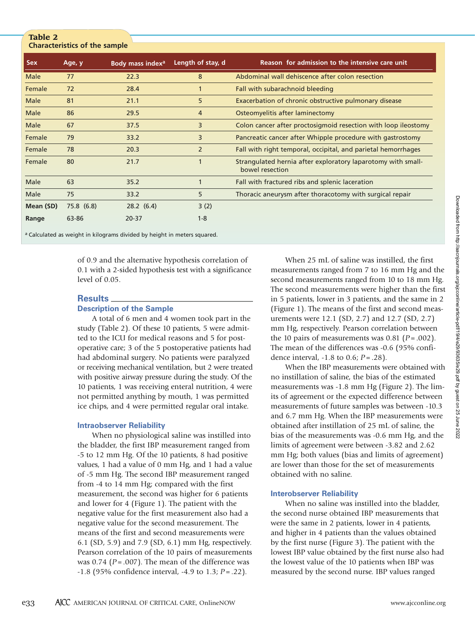# **Characteristics of the sample**

**Table 2** 

| <b>Sex</b>  | Age, y     | Body mass index <sup>a</sup> | Length of stay, d | Reason for admission to the intensive care unit                                 |  |  |  |  |  |
|-------------|------------|------------------------------|-------------------|---------------------------------------------------------------------------------|--|--|--|--|--|
| <b>Male</b> | 77         | 22.3                         | 8                 | Abdominal wall dehiscence after colon resection                                 |  |  |  |  |  |
| Female      | 72         | 28.4                         |                   | Fall with subarachnoid bleeding                                                 |  |  |  |  |  |
| Male        | 81         | 21.1                         | 5                 | Exacerbation of chronic obstructive pulmonary disease                           |  |  |  |  |  |
| Male        | 86         | 29.5                         | 4                 | Osteomyelitis after laminectomy                                                 |  |  |  |  |  |
| Male        | 67         | 37.5                         | 3                 | Colon cancer after proctosigmoid resection with loop ileostomy                  |  |  |  |  |  |
| Female      | 79         | 33.2                         | 3                 | Pancreatic cancer after Whipple procedure with gastrostomy                      |  |  |  |  |  |
| Female      | 78         | 20.3                         | $\overline{2}$    | Fall with right temporal, occipital, and parietal hemorrhages                   |  |  |  |  |  |
| Female      | 80         | 21.7                         | $\mathbf 1$       | Strangulated hernia after exploratory laparotomy with small-<br>bowel resection |  |  |  |  |  |
| Male        | 63         | 35.2                         |                   | Fall with fractured ribs and splenic laceration                                 |  |  |  |  |  |
| Male        | 75         | 33.2                         | 5                 | Thoracic aneurysm after thoracotomy with surgical repair                        |  |  |  |  |  |
| Mean (SD)   | 75.8 (6.8) | 28.2(6.4)                    | 3(2)              |                                                                                 |  |  |  |  |  |
| Range       | 63-86      | $20 - 37$                    | $1 - 8$           |                                                                                 |  |  |  |  |  |

a Calculated as weight in kilograms divided by height in meters squared.

of 0.9 and the alternative hypothesis correlation of 0.1 with a 2-sided hypothesis test with a significance level of 0.05.

#### **Results**

# **Description of the Sample**

A total of 6 men and 4 women took part in the study (Table 2). Of these 10 patients, 5 were admitted to the ICU for medical reasons and 5 for postoperative care; 3 of the 5 postoperative patients had had abdominal surgery. No patients were paralyzed or receiving mechanical ventilation, but 2 were treated with positive airway pressure during the study. Of the 10 patients, 1 was receiving enteral nutrition, 4 were not permitted anything by mouth, 1 was permitted ice chips, and 4 were permitted regular oral intake.

#### **Intraobserver Reliability**

When no physiological saline was instilled into the bladder, the first IBP measurement ranged from -5 to 12 mm Hg. Of the 10 patients, 8 had positive values, 1 had a value of 0 mm Hg, and 1 had a value of -5 mm Hg. The second IBP measurement ranged from -4 to 14 mm Hg; compared with the first measurement, the second was higher for 6 patients and lower for 4 (Figure 1). The patient with the negative value for the first measurement also had a negative value for the second measurement. The means of the first and second measurements were 6.1 (SD, 5.9) and 7.9 (SD, 6.1) mm Hg, respectively. Pearson correlation of the 10 pairs of measurements was  $0.74$  ( $P = .007$ ). The mean of the difference was -1.8 (95% confidence interval, -4.9 to 1.3; *P* = .22).

When 25 mL of saline was instilled, the first measurements ranged from 7 to 16 mm Hg and the second measurements ranged from 10 to 18 mm Hg. The second measurements were higher than the first in 5 patients, lower in 3 patients, and the same in 2 (Figure 1). The means of the first and second measurements were 12.1 (SD, 2.7) and 12.7 (SD, 2.7) mm Hg, respectively. Pearson correlation between the 10 pairs of measurements was 0.81 ( $P = .002$ ). The mean of the differences was -0.6 (95% confidence interval, -1.8 to 0.6; *P* = .28).

When the IBP measurements were obtained with no instillation of saline, the bias of the estimated measurements was -1.8 mm Hg (Figure 2). The limits of agreement or the expected difference between measurements of future samples was between -10.3 and 6.7 mm Hg. When the IBP measurements were obtained after instillation of 25 mL of saline, the bias of the measurements was -0.6 mm Hg, and the limits of agreement were between -3.82 and 2.62 mm Hg; both values (bias and limits of agreement) are lower than those for the set of measurements obtained with no saline.

#### **Interobserver Reliability**

When no saline was instilled into the bladder, the second nurse obtained IBP measurements that were the same in 2 patients, lower in 4 patients, and higher in 4 patients than the values obtained by the first nurse (Figure 3). The patient with the lowest IBP value obtained by the first nurse also had the lowest value of the 10 patients when IBP was measured by the second nurse. IBP values ranged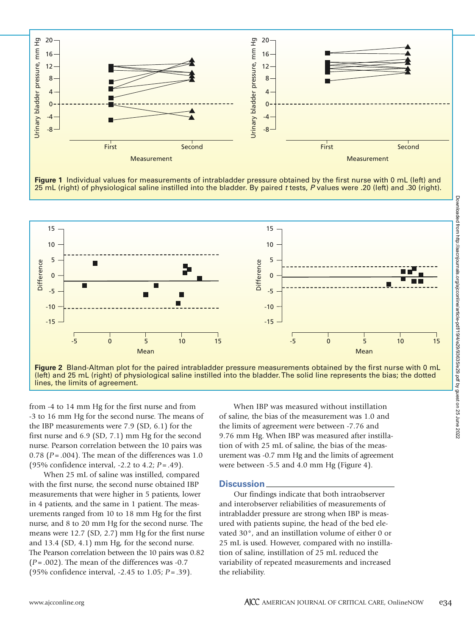

**Figure 1** Individual values for measurements of intrabladder pressure obtained by the first nurse with 0 mL (left) and



**Figure 2** Bland-Altman plot for the paired intrabladder pressure measurements obtained by the first nurse with 0 mL (left) and 25 mL (right) of physiological saline instilled into the bladder. The solid line represents the bias; the dotted

from -4 to 14 mm Hg for the first nurse and from -3 to 16 mm Hg for the second nurse. The means of the IBP measurements were 7.9 (SD, 6.1) for the first nurse and 6.9 (SD, 7.1) mm Hg for the second nurse. Pearson correlation between the 10 pairs was 0.78 (*P* = .004). The mean of the differences was 1.0 (95% confidence interval, -2.2 to 4.2; *P* = .49).

When 25 mL of saline was instilled, compared with the first nurse, the second nurse obtained IBP measurements that were higher in 5 patients, lower in 4 patients, and the same in 1 patient. The measurements ranged from 10 to 18 mm Hg for the first nurse, and 8 to 20 mm Hg for the second nurse. The means were 12.7 (SD, 2.7) mm Hg for the first nurse and 13.4 (SD, 4.1) mm Hg, for the second nurse. The Pearson correlation between the 10 pairs was 0.82  $(P = .002)$ . The mean of the differences was  $-0.7$ (95% confidence interval, -2.45 to 1.05; *P* = .39).

When IBP was measured without instillation of saline, the bias of the measurement was 1.0 and the limits of agreement were between -7.76 and 9.76 mm Hg. When IBP was measured after instillation of with 25 mL of saline, the bias of the measurement was -0.7 mm Hg and the limits of agreement were between -5.5 and 4.0 mm Hg (Figure 4).

### **Discussion**

Our findings indicate that both intraobserver and interobserver reliabilities of measurements of intrabladder pressure are strong when IBP is measured with patients supine, the head of the bed elevated 30°, and an instillation volume of either 0 or 25 mL is used. However, compared with no instillation of saline, instillation of 25 mL reduced the variability of repeated measurements and increased the reliability.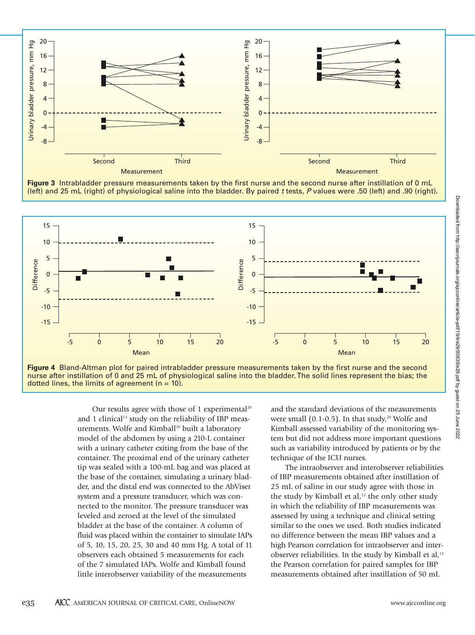





**Figure 4** Bland-Altman plot for paired intrabladder pressure measurements taken by the first nurse and the second nurse after instillation of 0 and 25 mL of physiological saline into the bladder. The solid lines represent the bias; the dotted lines, the limits of agreement  $(n = 10)$ .

Our results agree with those of 1 experimental<sup>20</sup> and 1 clinical<sup>13</sup> study on the reliability of IBP measurements. Wolfe and Kimball<sup>20</sup> built a laboratory model of the abdomen by using a 210-L container with a urinary catheter exiting from the base of the container. The proximal end of the urinary catheter tip was sealed with a 100-mL bag and was placed at the base of the container, simulating a urinary bladder, and the distal end was connected to the AbViser system and a pressure transducer, which was connected to the monitor. The pressure transducer was leveled and zeroed at the level of the simulated bladder at the base of the container. A column of fluid was placed within the container to simulate IAPs of 5, 10, 15, 20, 25, 30 and 40 mm Hg. A total of 11 observers each obtained 5 measurements for each of the 7 simulated IAPs. Wolfe and Kimball found little interobserver variability of the measurements

and the standard deviations of the measurements were small  $(0.1-0.5)$ . In that study,<sup>20</sup> Wolfe and Kimball assessed variability of the monitoring system but did not address more important questions such as variability introduced by patients or by the technique of the ICU nurses.

The intraobserver and interobserver reliabilities of IBP measurements obtained after instillation of 25 mL of saline in our study agree with those in the study by Kimball et al,<sup>12</sup> the only other study in which the reliability of IBP measurements was assessed by using a technique and clinical setting similar to the ones we used. Both studies indicated no difference between the mean IBP values and a high Pearson correlation for intraobserver and interobserver reliabilities. In the study by Kimball et al, $12$ the Pearson correlation for paired samples for IBP measurements obtained after instillation of 50 mL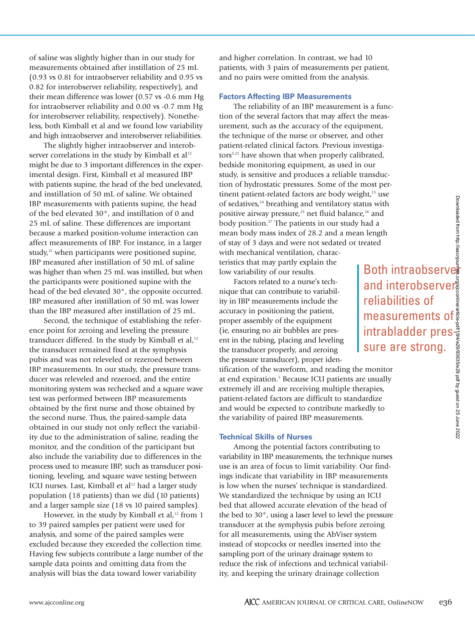of saline was slightly higher than in our study for measurements obtained after instillation of 25 mL (0.93 vs 0.81 for intraobserver reliability and 0.95 vs 0.82 for interobserver reliability, respectively), and their mean difference was lower (0.57 vs -0.6 mm Hg for intraobserver reliability and 0.00 vs -0.7 mm Hg for interobserver reliability, respectively). Nonetheless, both Kimball et al and we found low variability and high intraobserver and interobserver reliabilities.

The slightly higher intraobserver and interobserver correlations in the study by Kimball et al<sup>12</sup> might be due to 3 important differences in the experimental design. First, Kimball et al measured IBP with patients supine, the head of the bed unelevated, and instillation of 50 mL of saline. We obtained IBP measurements with patients supine, the head of the bed elevated 30°, and instillation of 0 and 25 mL of saline. These differences are important because a marked position-volume interaction can affect measurements of IBP. For instance, in a larger study, $21$  when participants were positioned supine, IBP measured after instillation of 50 mL of saline was higher than when 25 mL was instilled, but when the participants were positioned supine with the head of the bed elevated 30°, the opposite occurred. IBP measured after instillation of 50 mL was lower than the IBP measured after instillation of 25 mL.

Second, the technique of establishing the reference point for zeroing and leveling the pressure transducer differed. In the study by Kimball et al, $12$ the transducer remained fixed at the symphysis pubis and was not releveled or rezeroed between IBP measurements. In our study, the pressure transducer was releveled and rezeroed, and the entire monitoring system was rechecked and a square wave test was performed between IBP measurements obtained by the first nurse and those obtained by the second nurse. Thus, the paired-sample data obtained in our study not only reflect the variability due to the administration of saline, reading the monitor, and the condition of the participant but also include the variability due to differences in the process used to measure IBP, such as transducer positioning, leveling, and square wave testing between ICU nurses. Last, Kimball et al<sup>12</sup> had a larger study population (18 patients) than we did (10 patients) and a larger sample size (18 vs 10 paired samples).

However, in the study by Kimball et al,<sup>12</sup> from 1 to 39 paired samples per patient were used for analysis, and some of the paired samples were excluded because they exceeded the collection time. Having few subjects contribute a large number of the sample data points and omitting data from the analysis will bias the data toward lower variability

and higher correlation. In contrast, we had 10 patients, with 3 pairs of measurements per patient, and no pairs were omitted from the analysis.

# **Factors Affecting IBP Measurements**

The reliability of an IBP measurement is a function of the several factors that may affect the measurement, such as the accuracy of the equipment, the technique of the nurse or observer, and other patient-related clinical factors. Previous investigators<sup>5,22</sup> have shown that when properly calibrated, bedside monitoring equipment, as used in our study, is sensitive and produces a reliable transduction of hydrostatic pressures. Some of the most pertinent patient-related factors are body weight,<sup>23</sup> use of sedatives,<sup>24</sup> breathing and ventilatory status with positive airway pressure,<sup>25</sup> net fluid balance,<sup>26</sup> and body position.<sup>27</sup> The patients in our study had a mean body mass index of 28.2 and a mean length of stay of 3 days and were not sedated or treated with mechanical ventilation, charac-Experiment the control of the control of the control of the control of the control of the control of the control of the control of the control of the control of the control of the control of the control of the control of t

teristics that may partly explain the low variability of our results.

Factors related to a nurse's technique that can contribute to variability in IBP measurements include the accuracy in positioning the patient, proper assembly of the equipment (ie, ensuring no air bubbles are present in the tubing, placing and leveling the transducer properly, and zeroing the pressure transducer), proper identification of the waveform, and reading the monitor at end expiration.<sup>5</sup> Because ICU patients are usually extremely ill and are receiving multiple therapies, patient-related factors are difficult to standardize and would be expected to contribute markedly to the variability of paired IBP measurements.

#### **Technical Skills of Nurses**

Among the potential factors contributing to variability in IBP measurements, the technique nurses use is an area of focus to limit variability. Our findings indicate that variability in IBP measurements is low when the nurses' technique is standardized. We standardized the technique by using an ICU bed that allowed accurate elevation of the head of the bed to 30°, using a laser level to level the pressure transducer at the symphysis pubis before zeroing for all measurements, using the AbViser system instead of stopcocks or needles inserted into the sampling port of the urinary drainage system to reduce the risk of infections and technical variability, and keeping the urinary drainage collection

and interobservers reliabilities of measurements of intrabladder pressure are strong.<br>
The strong of the intraobserver and interobserver and interobserver are strong and interobserver are strong.<br>
Intrabladder presenting the strong of the strong intrabladder presenting the strong of the str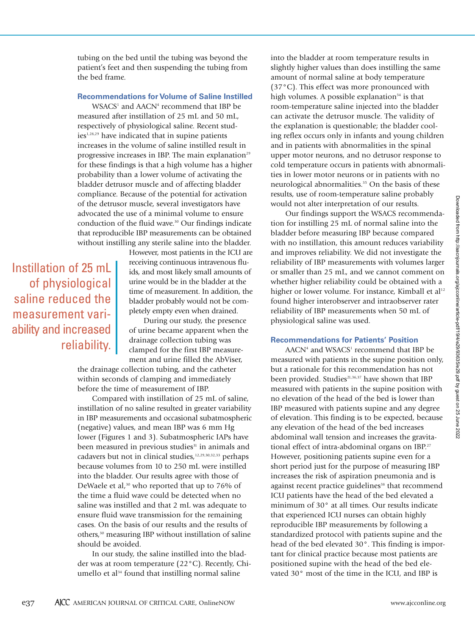tubing on the bed until the tubing was beyond the patient's feet and then suspending the tubing from the bed frame.

# **Recommendations for Volume of Saline Instilled**

WSACS<sup>1</sup> and AACN<sup>4</sup> recommend that IBP be measured after instillation of 25 mL and 50 mL, respectively of physiological saline. Recent stud $ies<sup>1,28,29</sup>$  have indicated that in supine patients increases in the volume of saline instilled result in progressive increases in IBP. The main explanation<sup>29</sup> for these findings is that a high volume has a higher probability than a lower volume of activating the bladder detrusor muscle and of affecting bladder compliance. Because of the potential for activation of the detrusor muscle, several investigators have advocated the use of a minimal volume to ensure conduction of the fluid wave.<sup>30</sup> Our findings indicate that reproducible IBP measurements can be obtained without instilling any sterile saline into the bladder.

# Instillation of 25 mL of physiological saline reduced the measurement variability and increased reliability.

However, most patients in the ICU are receiving continuous intravenous fluids, and most likely small amounts of urine would be in the bladder at the time of measurement. In addition, the bladder probably would not be completely empty even when drained.

During our study, the presence of urine became apparent when the drainage collection tubing was clamped for the first IBP measurement and urine filled the AbViser,

the drainage collection tubing, and the catheter within seconds of clamping and immediately before the time of measurement of IBP.

Compared with instillation of 25 mL of saline, instillation of no saline resulted in greater variability in IBP measurements and occasional subatmospheric (negative) values, and mean IBP was 6 mm Hg lower (Figures 1 and 3). Subatmospheric IAPs have been measured in previous studies<sup>31</sup> in animals and cadavers but not in clinical studies,<sup>12,29,30,32,33</sup> perhaps because volumes from 10 to 250 mL were instilled into the bladder. Our results agree with those of DeWaele et al,<sup>30</sup> who reported that up to 76% of the time a fluid wave could be detected when no saline was instilled and that 2 mL was adequate to ensure fluid wave transmission for the remaining cases. On the basis of our results and the results of others,30 measuring IBP without instillation of saline should be avoided.

In our study, the saline instilled into the bladder was at room temperature (22°C). Recently, Chiumello et al<sup>34</sup> found that instilling normal saline

into the bladder at room temperature results in slightly higher values than does instilling the same amount of normal saline at body temperature (37°C). This effect was more pronounced with high volumes. A possible explanation $34$  is that room-temperature saline injected into the bladder can activate the detrusor muscle. The validity of the explanation is questionable; the bladder cooling reflex occurs only in infants and young children and in patients with abnormalities in the spinal upper motor neurons, and no detrusor response to cold temperature occurs in patients with abnormalities in lower motor neurons or in patients with no neurological abnormalities.<sup>35</sup> On the basis of these results, use of room-temperature saline probably would not alter interpretation of our results.

Our findings support the WSACS recommendation for instilling 25 mL of normal saline into the bladder before measuring IBP because compared with no instillation, this amount reduces variability and improves reliability. We did not investigate the reliability of IBP measurements with volumes larger or smaller than 25 mL, and we cannot comment on whether higher reliability could be obtained with a higher or lower volume. For instance, Kimball et al<sup>12</sup> found higher interobserver and intraobserver rater reliability of IBP measurements when 50 mL of physiological saline was used.

# **Recommendations for Patients' Position**

AACN<sup>4</sup> and WSACS<sup>1</sup> recommend that IBP be measured with patients in the supine position only, but a rationale for this recommendation has not been provided. Studies<sup>21,36,37</sup> have shown that IBP measured with patients in the supine position with no elevation of the head of the bed is lower than IBP measured with patients supine and any degree of elevation. This finding is to be expected, because any elevation of the head of the bed increases abdominal wall tension and increases the gravitational effect of intra-abdominal organs on IBP.<sup>27</sup> However, positioning patients supine even for a short period just for the purpose of measuring IBP increases the risk of aspiration pneumonia and is against recent practice guidelines<sup>38</sup> that recommend ICU patients have the head of the bed elevated a minimum of 30° at all times. Our results indicate that experienced ICU nurses can obtain highly reproducible IBP measurements by following a standardized protocol with patients supine and the head of the bed elevated 30°. This finding is important for clinical practice because most patients are positioned supine with the head of the bed elevated 30° most of the time in the ICU, and IBP is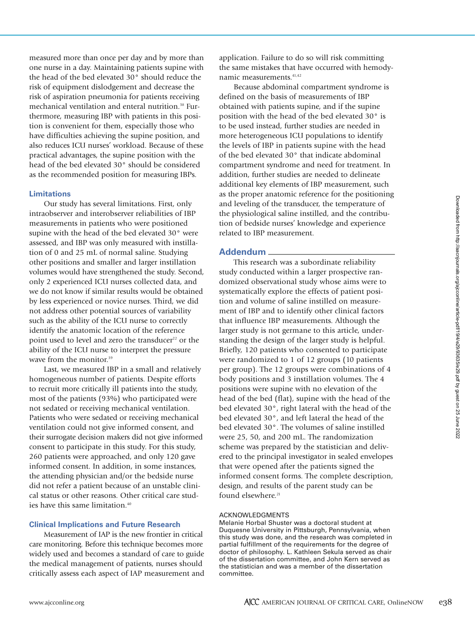measured more than once per day and by more than one nurse in a day. Maintaining patients supine with the head of the bed elevated 30° should reduce the risk of equipment dislodgement and decrease the risk of aspiration pneumonia for patients receiving mechanical ventilation and enteral nutrition.<sup>38</sup> Furthermore, measuring IBP with patients in this position is convenient for them, especially those who have difficulties achieving the supine position, and also reduces ICU nurses' workload. Because of these practical advantages, the supine position with the head of the bed elevated 30° should be considered as the recommended position for measuring IBPs.

### **Limitations**

Our study has several limitations. First, only intraobserver and interobserver reliabilities of IBP measurements in patients who were positioned supine with the head of the bed elevated 30° were assessed, and IBP was only measured with instillation of 0 and 25 mL of normal saline. Studying other positions and smaller and larger instillation volumes would have strengthened the study. Second, only 2 experienced ICU nurses collected data, and we do not know if similar results would be obtained by less experienced or novice nurses. Third, we did not address other potential sources of variability such as the ability of the ICU nurse to correctly identify the anatomic location of the reference point used to level and zero the transducer<sup>22</sup> or the ability of the ICU nurse to interpret the pressure wave from the monitor.<sup>39</sup>

Last, we measured IBP in a small and relatively homogeneous number of patients. Despite efforts to recruit more critically ill patients into the study, most of the patients (93%) who participated were not sedated or receiving mechanical ventilation. Patients who were sedated or receiving mechanical ventilation could not give informed consent, and their surrogate decision makers did not give informed consent to participate in this study. For this study, 260 patients were approached, and only 120 gave informed consent. In addition, in some instances, the attending physician and/or the bedside nurse did not refer a patient because of an unstable clinical status or other reasons. Other critical care studies have this same limitation.<sup>40</sup>

### **Clinical Implications and Future Research**

Measurement of IAP is the new frontier in critical care monitoring. Before this technique becomes more widely used and becomes a standard of care to guide the medical management of patients, nurses should critically assess each aspect of IAP measurement and

application. Failure to do so will risk committing the same mistakes that have occurred with hemodynamic measurements.<sup>41,42</sup>

Because abdominal compartment syndrome is defined on the basis of measurements of IBP obtained with patients supine, and if the supine position with the head of the bed elevated 30° is to be used instead, further studies are needed in more heterogeneous ICU populations to identify the levels of IBP in patients supine with the head of the bed elevated 30° that indicate abdominal compartment syndrome and need for treatment. In addition, further studies are needed to delineate additional key elements of IBP measurement, such as the proper anatomic reference for the positioning and leveling of the transducer, the temperature of the physiological saline instilled, and the contribution of bedside nurses' knowledge and experience related to IBP measurement.

# **Addendum**

This research was a subordinate reliability study conducted within a larger prospective randomized observational study whose aims were to systematically explore the effects of patient position and volume of saline instilled on measurement of IBP and to identify other clinical factors that influence IBP measurements. Although the larger study is not germane to this article, understanding the design of the larger study is helpful. Briefly, 120 patients who consented to participate were randomized to 1 of 12 groups (10 patients per group). The 12 groups were combinations of 4 body positions and 3 instillation volumes. The 4 positions were supine with no elevation of the head of the bed (flat), supine with the head of the bed elevated 30°, right lateral with the head of the bed elevated 30°, and left lateral the head of the bed elevated 30°. The volumes of saline instilled were 25, 50, and 200 mL. The randomization scheme was prepared by the statistician and delivered to the principal investigator in sealed envelopes that were opened after the patients signed the informed consent forms. The complete description, design, and results of the parent study can be found elsewhere.<sup>21</sup>

#### ACKNOWLEDGMENTS

Melanie Horbal Shuster was a doctoral student at Duquesne University in Pittsburgh, Pennsylvania, when this study was done, and the research was completed in partial fulfillment of the requirements for the degree of doctor of philosophy. L. Kathleen Sekula served as chair of the dissertation committee, and John Kern served as the statistician and was a member of the dissertation committee.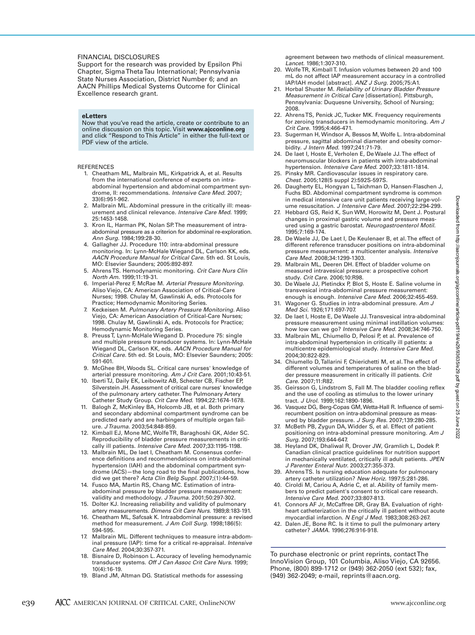#### FINANCIAL DISCLOSURES

Support for the research was provided by Epsilon Phi Chapter, Sigma Theta Tau International; Pennsylvania State Nurses Association, District Number 6; and an AACN Phillips Medical Systems Outcome for Clinical Excellence research grant.

#### **eLetters**

Now that you've read the article, create or contribute to an online discussion on this topic. Visit **www.ajcconline.org** and click "Respond to This Article" in either the full-text or PDF view of the article.

#### REFERENCES

- 1. Cheatham ML, Malbrain ML, Kirkpatrick A, et al. Results from the international conference of experts on intraabdominal hypertension and abdominal compartment syndrome, II: recommendations. *Intensive Care Med.* 2007; 33(6):951-962.
- 2. Malbrain ML. Abdominal pressure in the critically ill: measurement and clinical relevance. *Intensive Care Med.* 1999; 25:1453-1458.
- 3. Kron IL, Harman PK, Nolan SP. The measurement of intraabdominal pressure as a criterion for abdominal re-exploration. *Ann Surg.* 1984;199:28-30.
- 4. Gallagher JJ. Procedure 110: intra-abdominal pressure monitoring. In: Lynn-McHale Wiegand DL, Carlson KK, eds. *AACN Procedure Manual for Critical Care.* 5th ed. St Louis, MO: Elsevier Saunders; 2005:892-897.
- 5. Ahrens TS. Hemodynamic monitoring. *Crit Care Nurs Clin North Am.* 1999;11:19-31.
- 6. Imperial-Perez F, McRae M. *Arterial Pressure Monitoring.* Aliso Viejo, CA: American Association of Critical-Care Nurses; 1998. Chulay M, Gawlinski A, eds. Protocols for Practice; Hemodynamic Monitoring Series.
- 7. Keckeisen M. *Pulmonary Artery Pressure Monitoring.* Aliso Viejo, CA: American Association of Critical-Care Nurses: 1998. Chulay M, Gawlinski A, eds. Protocols for Practice; Hemodynamic Monitoring Series.
- 8. Preuss T, Lynn-McHale Wiegand D. Procedure 75: single and multiple pressure transducer systems. In: Lynn-McHale Wiegand DL, Carlson KK, eds. *AACN Procedure Manual for Critical Care.* 5th ed. St Louis, MO: Elsevier Saunders; 2005: 591-601.
- 9. McGhee BH, Woods SL. Critical care nurses' knowledge of arterial pressure monitoring. *Am J Crit Care.* 2001;10:43-51.
- 10. Iberti TJ, Daily EK, Leibowitz AB, Schecter CB, Fischer EP, Silverstein JH. Assessment of critical care nurses' knowledge of the pulmonary artery catheter. The Pulmonary Artery Catheter Study Group. *Crit Care Med.* 1994;22:1674-1678.
- 11. Balogh Z, McKinley BA, Holcomb JB, et al. Both primary and secondary abdominal compartment syndrome can be predicted early and are harbingers of multiple organ failure. *J Trauma.* 2003;54:848-859.
- 12. Kimball EJ, Mone MC, Wolfe TR, Baraghoshi GK, Alder SC. Reproducibility of bladder pressure measurements in critically ill patients. *Intensive Care Med.* 2007;33:1195-1198.
- 13. Malbrain ML, De laet I, Cheatham M. Consensus conference definitions and recommendations on intra-abdominal hypertension (IAH) and the abdominal compartment syndrome (ACS)—the long road to the final publications, how did we get there? *Acta Clin Belg Suppl.* 2007;(1):44-59.
- 14. Fusco MA, Martin RS, Chang MC. Estimation of intraabdominal pressure by bladder pressure measurement: validity and methodology. *J Trauma.* 2001;50:297-302.
- 15. Dolter KJ. Increasing reliability and validity of pulmonary artery measurements. *Dimens Crit Care Nurs.* 1989;8:183-191.
- 16. Cheatham ML, Safcsak K. Intraabdominal pressure: a revised method for measurement. *J Am Coll Surg.* 1998;186(5): 594-595.
- 17. Malbrain ML. Different techniques to measure intra-abdominal pressure (IAP): time for a critical re-appraisal. *Intensive Care Med.* 2004;30:357-371.
- 18. Bisnaire D, Robinson L. Accuracy of leveling hemodynamic transducer systems. *Off J Can Assoc Crit Care Nurs.* 1999; 10(4):16-19.
- 19. Bland JM, Altman DG. Statistical methods for assessing

agreement between two methods of clinical measurement. *Lancet.* 1986;1:307-310.

- 20. Wolfe TR, Kimball T. Infusion volumes between 20 and 100 mL do not affect IAP measurement accuracy in a controlled IAP/IAH model [abstract]. *ANZ J Surg.* 2005;75:A1.
- 21. Horbal Shuster M. *Reliability of Urinary Bladder Pressure Measurement in Critical Care* [dissertation]. Pittsburgh, Pennsylvania: Duquesne University, School of Nursing; 2008.
- 22. Ahrens TS, Penick JC, Tucker MK. Frequency requirements for zeroing transducers in hemodynamic monitoring. *Am J Crit Care.* 1995;4:466-471.
- 23. Sugerman H, Windsor A, Bessos M, Wolfe L. Intra-abdominal pressure, sagittal abdominal diameter and obesity comorbidity. *J Intern Med.* 1997;241:71-79.
- 24. De Iaet I, Hoste E, Verholen E, De Waele JJ. The effect of neuromuscular blockers in patients with intra-abdominal hypertension. *Intensive Care Med.* 2007;33:1811-1814.
- 25. Pinsky MR. Cardiovascular issues in respiratory care. *Chest.* 2005;128(5 suppl 2):592S-597S.
- 26. Daugherty EL, Hongyan L, Taichman D, Hansen-Flaschen J, Fuchs BD. Abdominal compartment syndrome is common in medical intensive care unit patients receiving large-volume resuscitation. *J Intensive Care Med.* 2007;22:294-299.
- 27. Hebbard GS, Reid K, Sun WM, Horowitz M, Dent J. Postural changes in proximal gastric volume and pressure measured using a gastric barostat. *Neurogastroenterol Motil.* 1995;7:169-174.
- 28. De Waele JJ, De Laet I, De Keulenaer B, et al. The effect of different reference transducer positions on intra-abdominal pressure measurement: a multicenter analysis. *Intensive Care Med.* 2008;34:1299-1303.
- 29. Malbrain ML, Deeren DH. Effect of bladder volume on measured intravesical pressure: a prospective cohort study. *Crit Care.* 2006;10:R98.
- 30. De Waele JJ, Pletinckx P, Blot S, Hoste E. Saline volume in transvesical intra-abdominal pressure measurement: enough is enough. *Intensive Care Med.* 2006;32:455-459.
- 31. Wagoner G. Studies in intra-abdominal pressure. *Am J Med Sci.* 1926;171:697-707.
- 32. De Iaet I, Hoste E, De Waele JJ. Transvesical intra-abdominal pressure measurement using minimal instillation volumes: how low can we go? *Intensive Care Med.* 2008;34:746-750.
- 33. Malbrain ML, Chiumello D, Pelosi P, et al. Prevalence of intra-abdominal hypertension in critically ill patients: a multicentre epidemiological study. *Intensive Care Med.* 2004;30:822-829.
- 34. Chiumello D, Tallarini F, Chierichetti M, et al. The effect of different volumes and temperatures of saline on the bladder pressure measurement in critically ill patients. *Crit Care.* 2007;11:R82.
- 35. Geirsson G, Lindstrom S, Fall M. The bladder cooling reflex and the use of cooling as stimulus to the lower urinary tract. *J Urol.* 1999;162:1890-1896.
- 36. Vasquez DG, Berg-Copas GM, Wetta-Hall R. Influence of semirecumbent position on intra-abdominal pressure as measured by bladder pressure. *J Surg Res.* 2007;139:280-285.
- 37. McBeth PB, Zygun DA, Widder S, et al. Effect of patient positioning on intra-abdominal pressure monitoring. *Am J Surg.* 2007;193:644-647.
- 38. Heyland DK, Dhaliwal R, Drover JW, Gramlich L, Dodek P. Canadian clinical practice guidelines for nutrition support in mechanically ventilated, critically ill adult patients. *JPEN J Parenter Enteral Nutr.* 2003;27:355-373.
- 39. Ahrens TS. Is nursing education adequate for pulmonary artery catheter utilization? *New Horiz.* 1997;5:281-286.
- 40. Ciroldi M, Cariou A, Adrie C, et al. Ability of family members to predict patient's consent to critical care research. *Intensive Care Med.* 2007;33:807-813.
- 41. Connors AF Jr, McCaffree DR, Gray BA. Evaluation of rightheart catheterization in the critically ill patient without acute myocardial infarction. *N Engl J Med.* 1983;308:263-267.
- 42. Dalen JE, Bone RC. Is it time to pull the pulmonary artery catheter? *JAMA.* 1996;276:916-918.

To purchase electronic or print reprints, contact The InnoVision Group, 101 Columbia, Aliso Viejo, CA 92656. Phone, (800) 899-1712 or (949) 362-2050 (ext 532); fax, (949) 362-2049; e-mail, reprints@aacn.org.